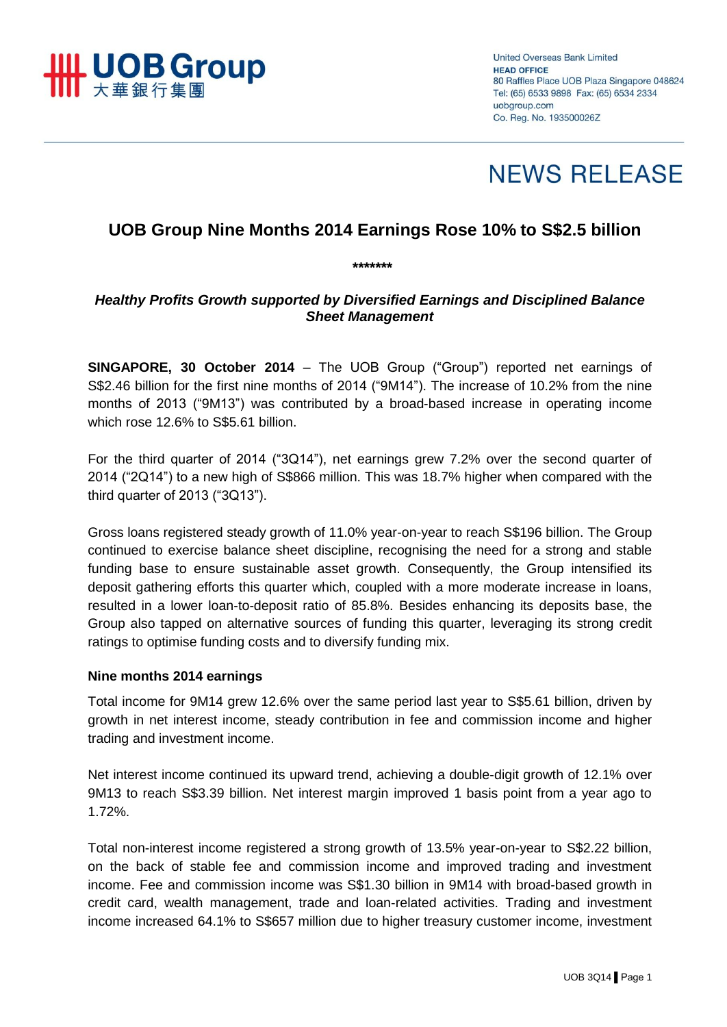

**United Overseas Bank Limited HEAD OFFICE** 80 Raffles Place UOB Plaza Singapore 048624 Tel: (65) 6533 9898 Fax: (65) 6534 2334 uobaroup.com Co. Reg. No. 193500026Z



# **UOB Group Nine Months 2014 Earnings Rose 10% to S\$2.5 billion**

# *Healthy Profits Growth supported by Diversified Earnings and Disciplined Balance Sheet Management*

*\*\*\*\*\*\*\**

**SINGAPORE, 30 October 2014** – The UOB Group ("Group") reported net earnings of S\$2.46 billion for the first nine months of 2014 ("9M14"). The increase of 10.2% from the nine months of 2013 ("9M13") was contributed by a broad-based increase in operating income which rose 12.6% to S\$5.61 billion.

For the third quarter of 2014 ("3Q14"), net earnings grew 7.2% over the second quarter of 2014 ("2Q14") to a new high of S\$866 million. This was 18.7% higher when compared with the third quarter of 2013 ("3Q13").

Gross loans registered steady growth of 11.0% year-on-year to reach S\$196 billion. The Group continued to exercise balance sheet discipline, recognising the need for a strong and stable funding base to ensure sustainable asset growth. Consequently, the Group intensified its deposit gathering efforts this quarter which, coupled with a more moderate increase in loans, resulted in a lower loan-to-deposit ratio of 85.8%. Besides enhancing its deposits base, the Group also tapped on alternative sources of funding this quarter, leveraging its strong credit ratings to optimise funding costs and to diversify funding mix.

#### **Nine months 2014 earnings**

Total income for 9M14 grew 12.6% over the same period last year to S\$5.61 billion, driven by growth in net interest income, steady contribution in fee and commission income and higher trading and investment income.

Net interest income continued its upward trend, achieving a double-digit growth of 12.1% over 9M13 to reach S\$3.39 billion. Net interest margin improved 1 basis point from a year ago to 1.72%.

Total non-interest income registered a strong growth of 13.5% year-on-year to S\$2.22 billion, on the back of stable fee and commission income and improved trading and investment income. Fee and commission income was S\$1.30 billion in 9M14 with broad-based growth in credit card, wealth management, trade and loan-related activities. Trading and investment income increased 64.1% to S\$657 million due to higher treasury customer income, investment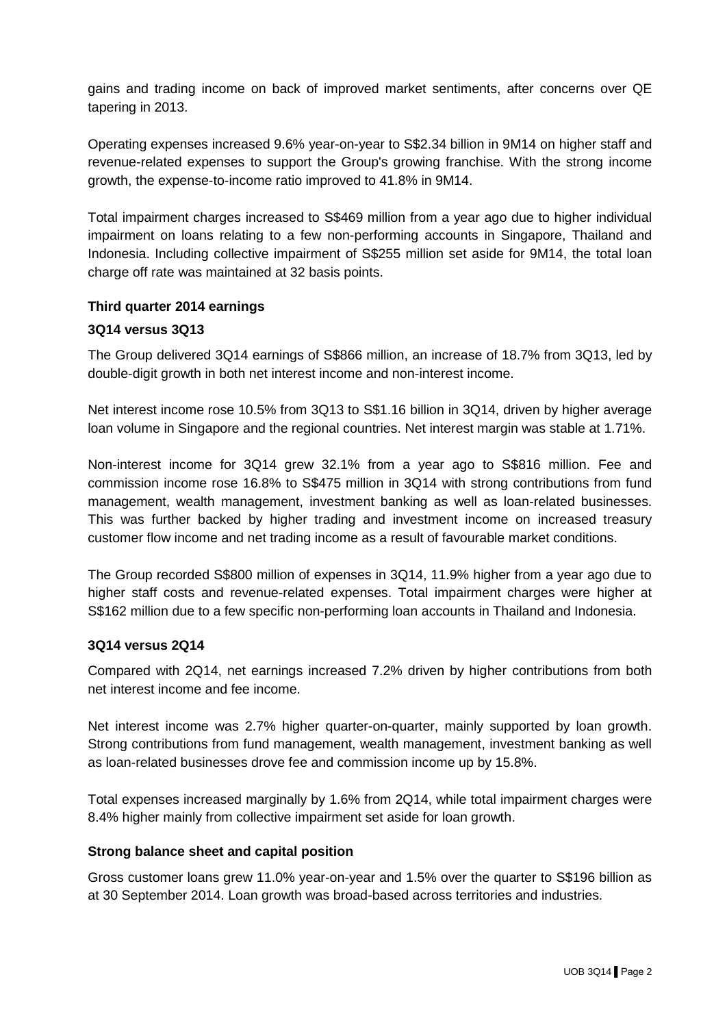gains and trading income on back of improved market sentiments, after concerns over QE tapering in 2013.

Operating expenses increased 9.6% year-on-year to S\$2.34 billion in 9M14 on higher staff and revenue-related expenses to support the Group's growing franchise. With the strong income growth, the expense-to-income ratio improved to 41.8% in 9M14.

Total impairment charges increased to S\$469 million from a year ago due to higher individual impairment on loans relating to a few non-performing accounts in Singapore, Thailand and Indonesia. Including collective impairment of S\$255 million set aside for 9M14, the total loan charge off rate was maintained at 32 basis points.

## **Third quarter 2014 earnings**

#### **3Q14 versus 3Q13**

The Group delivered 3Q14 earnings of S\$866 million, an increase of 18.7% from 3Q13, led by double-digit growth in both net interest income and non-interest income.

Net interest income rose 10.5% from 3Q13 to S\$1.16 billion in 3Q14, driven by higher average loan volume in Singapore and the regional countries. Net interest margin was stable at 1.71%.

Non-interest income for 3Q14 grew 32.1% from a year ago to S\$816 million. Fee and commission income rose 16.8% to S\$475 million in 3Q14 with strong contributions from fund management, wealth management, investment banking as well as loan-related businesses. This was further backed by higher trading and investment income on increased treasury customer flow income and net trading income as a result of favourable market conditions.

The Group recorded S\$800 million of expenses in 3Q14, 11.9% higher from a year ago due to higher staff costs and revenue-related expenses. Total impairment charges were higher at S\$162 million due to a few specific non-performing loan accounts in Thailand and Indonesia.

#### **3Q14 versus 2Q14**

Compared with 2Q14, net earnings increased 7.2% driven by higher contributions from both net interest income and fee income.

Net interest income was 2.7% higher quarter-on-quarter, mainly supported by loan growth. Strong contributions from fund management, wealth management, investment banking as well as loan-related businesses drove fee and commission income up by 15.8%.

Total expenses increased marginally by 1.6% from 2Q14, while total impairment charges were 8.4% higher mainly from collective impairment set aside for loan growth.

#### **Strong balance sheet and capital position**

Gross customer loans grew 11.0% year-on-year and 1.5% over the quarter to S\$196 billion as at 30 September 2014. Loan growth was broad-based across territories and industries.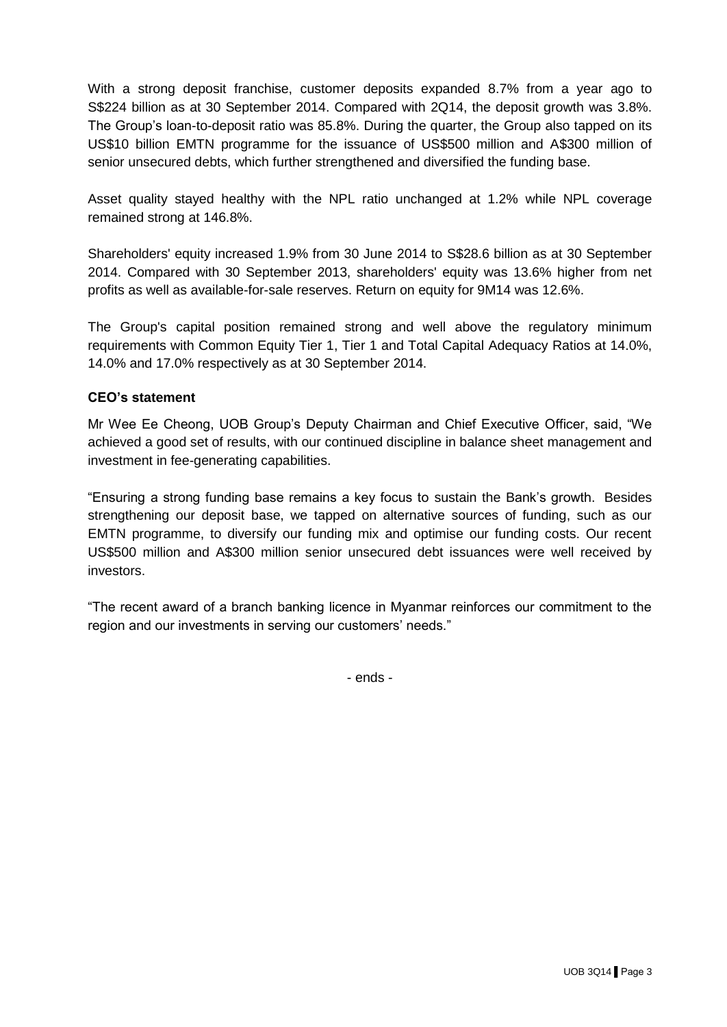With a strong deposit franchise, customer deposits expanded 8.7% from a year ago to S\$224 billion as at 30 September 2014. Compared with 2Q14, the deposit growth was 3.8%. The Group's loan-to-deposit ratio was 85.8%. During the quarter, the Group also tapped on its US\$10 billion EMTN programme for the issuance of US\$500 million and A\$300 million of senior unsecured debts, which further strengthened and diversified the funding base.

Asset quality stayed healthy with the NPL ratio unchanged at 1.2% while NPL coverage remained strong at 146.8%.

Shareholders' equity increased 1.9% from 30 June 2014 to S\$28.6 billion as at 30 September 2014. Compared with 30 September 2013, shareholders' equity was 13.6% higher from net profits as well as available-for-sale reserves. Return on equity for 9M14 was 12.6%.

The Group's capital position remained strong and well above the regulatory minimum requirements with Common Equity Tier 1, Tier 1 and Total Capital Adequacy Ratios at 14.0%, 14.0% and 17.0% respectively as at 30 September 2014.

# **CEO's statement**

Mr Wee Ee Cheong, UOB Group's Deputy Chairman and Chief Executive Officer, said, "We achieved a good set of results, with our continued discipline in balance sheet management and investment in fee-generating capabilities.

"Ensuring a strong funding base remains a key focus to sustain the Bank's growth. Besides strengthening our deposit base, we tapped on alternative sources of funding, such as our EMTN programme, to diversify our funding mix and optimise our funding costs. Our recent US\$500 million and A\$300 million senior unsecured debt issuances were well received by investors.

"The recent award of a branch banking licence in Myanmar reinforces our commitment to the region and our investments in serving our customers' needs."

- ends -